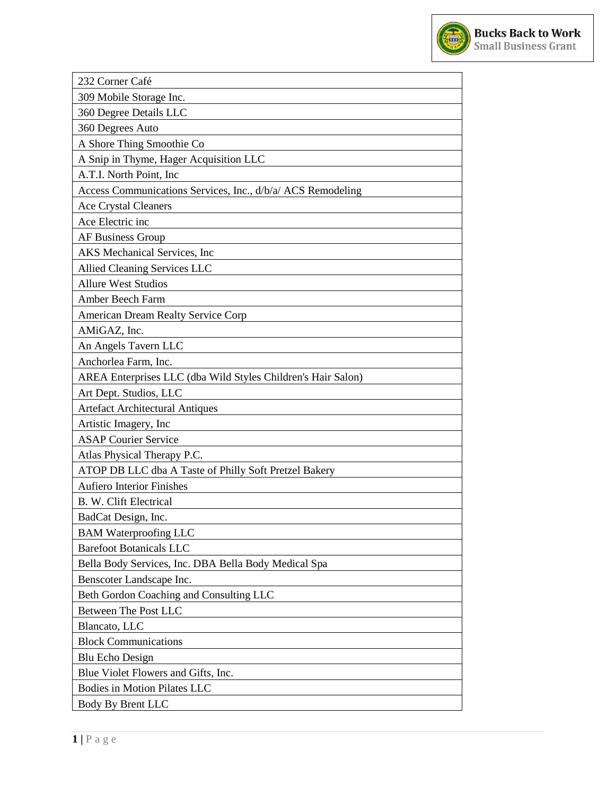

| 232 Corner Café                                              |
|--------------------------------------------------------------|
| 309 Mobile Storage Inc.                                      |
| 360 Degree Details LLC                                       |
| 360 Degrees Auto                                             |
| A Shore Thing Smoothie Co                                    |
| A Snip in Thyme, Hager Acquisition LLC                       |
| A.T.I. North Point, Inc                                      |
| Access Communications Services, Inc., d/b/a/ ACS Remodeling  |
| <b>Ace Crystal Cleaners</b>                                  |
| Ace Electric inc                                             |
| <b>AF Business Group</b>                                     |
| AKS Mechanical Services, Inc.                                |
| Allied Cleaning Services LLC                                 |
| <b>Allure West Studios</b>                                   |
| Amber Beech Farm                                             |
| American Dream Realty Service Corp                           |
| AMiGAZ, Inc.                                                 |
| An Angels Tavern LLC                                         |
| Anchorlea Farm, Inc.                                         |
| AREA Enterprises LLC (dba Wild Styles Children's Hair Salon) |
| Art Dept. Studios, LLC                                       |
| <b>Artefact Architectural Antiques</b>                       |
| Artistic Imagery, Inc                                        |
| <b>ASAP Courier Service</b>                                  |
| Atlas Physical Therapy P.C.                                  |
| ATOP DB LLC dba A Taste of Philly Soft Pretzel Bakery        |
| <b>Aufiero Interior Finishes</b>                             |
| B. W. Clift Electrical                                       |
| BadCat Design, Inc.                                          |
| <b>BAM Waterproofing LLC</b>                                 |
| <b>Barefoot Botanicals LLC</b>                               |
| Bella Body Services, Inc. DBA Bella Body Medical Spa         |
| Benscoter Landscape Inc.                                     |
| Beth Gordon Coaching and Consulting LLC                      |
| Between The Post LLC                                         |
| Blancato, LLC                                                |
| <b>Block Communications</b>                                  |
| <b>Blu Echo Design</b>                                       |
| Blue Violet Flowers and Gifts, Inc.                          |
| Bodies in Motion Pilates LLC                                 |
| Body By Brent LLC                                            |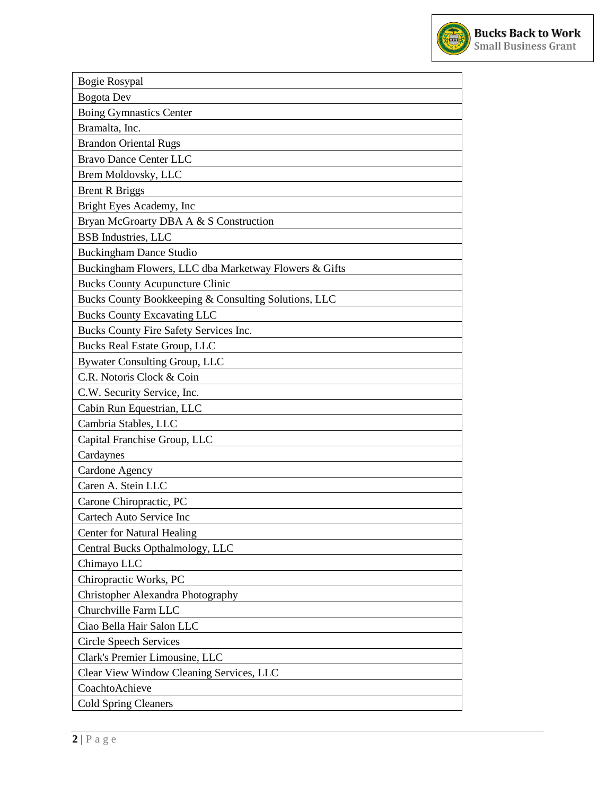

| <b>Bogie Rosypal</b>                                  |
|-------------------------------------------------------|
| <b>Bogota</b> Dev                                     |
| <b>Boing Gymnastics Center</b>                        |
| Bramalta, Inc.                                        |
| <b>Brandon Oriental Rugs</b>                          |
| <b>Bravo Dance Center LLC</b>                         |
| Brem Moldovsky, LLC                                   |
| <b>Brent R Briggs</b>                                 |
| Bright Eyes Academy, Inc                              |
| Bryan McGroarty DBA A & S Construction                |
| <b>BSB</b> Industries, LLC                            |
| <b>Buckingham Dance Studio</b>                        |
| Buckingham Flowers, LLC dba Marketway Flowers & Gifts |
| <b>Bucks County Acupuncture Clinic</b>                |
| Bucks County Bookkeeping & Consulting Solutions, LLC  |
| <b>Bucks County Excavating LLC</b>                    |
| Bucks County Fire Safety Services Inc.                |
| <b>Bucks Real Estate Group, LLC</b>                   |
| <b>Bywater Consulting Group, LLC</b>                  |
| C.R. Notoris Clock & Coin                             |
| C.W. Security Service, Inc.                           |
| Cabin Run Equestrian, LLC                             |
| Cambria Stables, LLC                                  |
| Capital Franchise Group, LLC                          |
| Cardaynes                                             |
| Cardone Agency                                        |
| Caren A. Stein LLC                                    |
| Carone Chiropractic, PC                               |
| Cartech Auto Service Inc                              |
| <b>Center for Natural Healing</b>                     |
| Central Bucks Opthalmology, LLC                       |
| Chimayo LLC                                           |
| Chiropractic Works, PC                                |
| Christopher Alexandra Photography                     |
| Churchville Farm LLC                                  |
| Ciao Bella Hair Salon LLC                             |
| <b>Circle Speech Services</b>                         |
| Clark's Premier Limousine, LLC                        |
| Clear View Window Cleaning Services, LLC              |
| CoachtoAchieve                                        |
| <b>Cold Spring Cleaners</b>                           |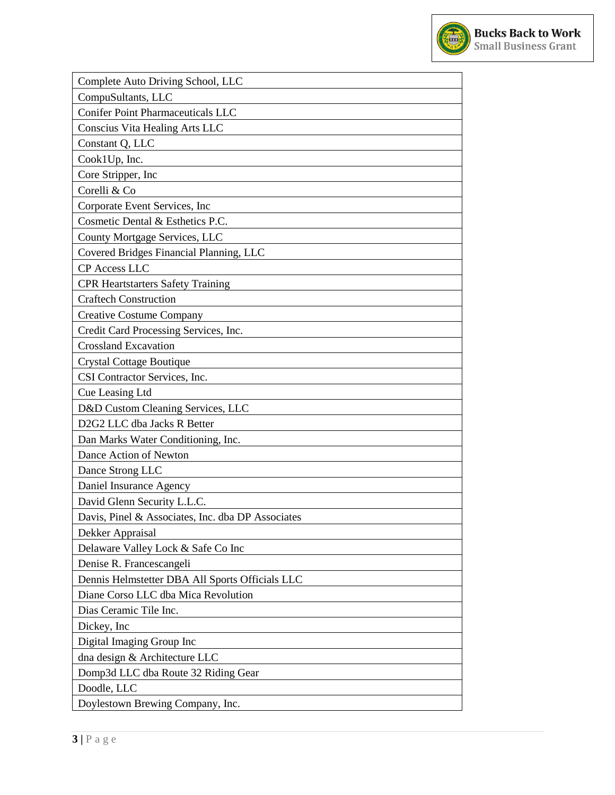

| Complete Auto Driving School, LLC                 |
|---------------------------------------------------|
| CompuSultants, LLC                                |
| <b>Conifer Point Pharmaceuticals LLC</b>          |
| Conscius Vita Healing Arts LLC                    |
|                                                   |
| Constant Q, LLC                                   |
| Cook1Up, Inc.                                     |
| Core Stripper, Inc                                |
| Corelli & Co                                      |
| Corporate Event Services, Inc.                    |
| Cosmetic Dental & Esthetics P.C.                  |
| County Mortgage Services, LLC                     |
| Covered Bridges Financial Planning, LLC           |
| <b>CP</b> Access LLC                              |
| <b>CPR Heartstarters Safety Training</b>          |
| <b>Craftech Construction</b>                      |
| <b>Creative Costume Company</b>                   |
| Credit Card Processing Services, Inc.             |
| <b>Crossland Excavation</b>                       |
| <b>Crystal Cottage Boutique</b>                   |
| CSI Contractor Services, Inc.                     |
| Cue Leasing Ltd                                   |
| D&D Custom Cleaning Services, LLC                 |
| D2G2 LLC dba Jacks R Better                       |
| Dan Marks Water Conditioning, Inc.                |
| Dance Action of Newton                            |
| Dance Strong LLC                                  |
| Daniel Insurance Agency                           |
| David Glenn Security L.L.C.                       |
| Davis, Pinel & Associates, Inc. dba DP Associates |
| Dekker Appraisal                                  |
| Delaware Valley Lock & Safe Co Inc                |
| Denise R. Francescangeli                          |
| Dennis Helmstetter DBA All Sports Officials LLC   |
| Diane Corso LLC dba Mica Revolution               |
| Dias Ceramic Tile Inc.                            |
| Dickey, Inc.                                      |
| Digital Imaging Group Inc                         |
| dna design & Architecture LLC                     |
| Domp3d LLC dba Route 32 Riding Gear               |
| Doodle, LLC                                       |
| Doylestown Brewing Company, Inc.                  |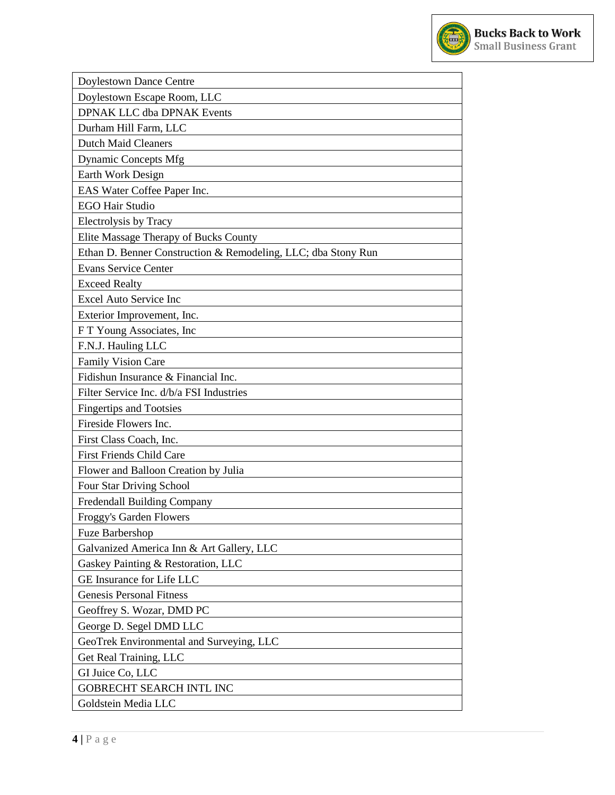

| Doylestown Dance Centre                                       |
|---------------------------------------------------------------|
| Doylestown Escape Room, LLC                                   |
| <b>DPNAK LLC dba DPNAK Events</b>                             |
| Durham Hill Farm, LLC                                         |
| <b>Dutch Maid Cleaners</b>                                    |
| <b>Dynamic Concepts Mfg</b>                                   |
| Earth Work Design                                             |
| EAS Water Coffee Paper Inc.                                   |
| <b>EGO Hair Studio</b>                                        |
| <b>Electrolysis by Tracy</b>                                  |
| Elite Massage Therapy of Bucks County                         |
| Ethan D. Benner Construction & Remodeling, LLC; dba Stony Run |
| <b>Evans Service Center</b>                                   |
| <b>Exceed Realty</b>                                          |
| <b>Excel Auto Service Inc</b>                                 |
| Exterior Improvement, Inc.                                    |
| FT Young Associates, Inc                                      |
| F.N.J. Hauling LLC                                            |
| <b>Family Vision Care</b>                                     |
| Fidishun Insurance & Financial Inc.                           |
| Filter Service Inc. d/b/a FSI Industries                      |
| <b>Fingertips and Tootsies</b>                                |
| Fireside Flowers Inc.                                         |
| First Class Coach, Inc.                                       |
| <b>First Friends Child Care</b>                               |
| Flower and Balloon Creation by Julia                          |
| Four Star Driving School                                      |
| Fredendall Building Company                                   |
| Froggy's Garden Flowers                                       |
| Fuze Barbershop                                               |
| Galvanized America Inn & Art Gallery, LLC                     |
| Gaskey Painting & Restoration, LLC                            |
| GE Insurance for Life LLC                                     |
| <b>Genesis Personal Fitness</b>                               |
| Geoffrey S. Wozar, DMD PC                                     |
| George D. Segel DMD LLC                                       |
| GeoTrek Environmental and Surveying, LLC                      |
| Get Real Training, LLC                                        |
| GI Juice Co, LLC                                              |
| GOBRECHT SEARCH INTL INC                                      |
| Goldstein Media LLC                                           |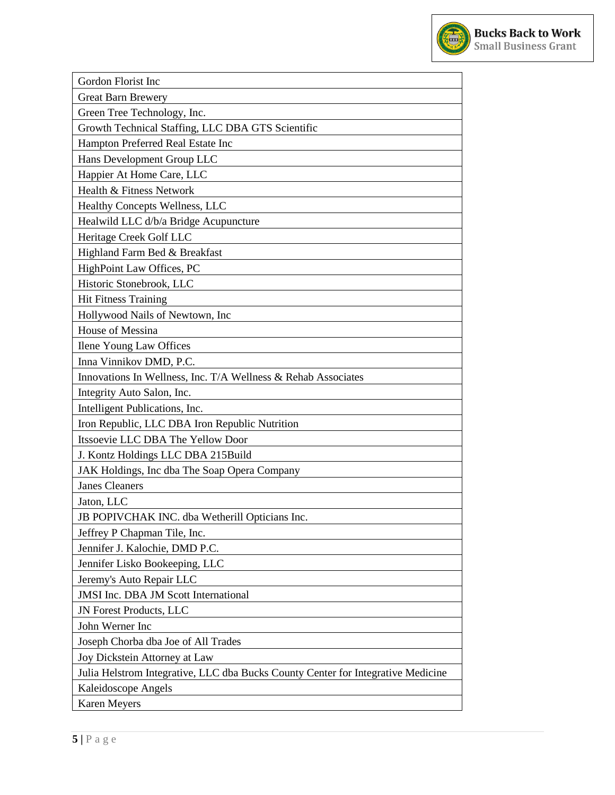

| Gordon Florist Inc                                                               |
|----------------------------------------------------------------------------------|
| <b>Great Barn Brewery</b>                                                        |
| Green Tree Technology, Inc.                                                      |
| Growth Technical Staffing, LLC DBA GTS Scientific                                |
| Hampton Preferred Real Estate Inc                                                |
| Hans Development Group LLC                                                       |
| Happier At Home Care, LLC                                                        |
| Health & Fitness Network                                                         |
| Healthy Concepts Wellness, LLC                                                   |
| Healwild LLC d/b/a Bridge Acupuncture                                            |
| Heritage Creek Golf LLC                                                          |
| Highland Farm Bed & Breakfast                                                    |
| HighPoint Law Offices, PC                                                        |
| Historic Stonebrook, LLC                                                         |
| <b>Hit Fitness Training</b>                                                      |
| Hollywood Nails of Newtown, Inc                                                  |
| House of Messina                                                                 |
| Ilene Young Law Offices                                                          |
| Inna Vinnikov DMD, P.C.                                                          |
| Innovations In Wellness, Inc. T/A Wellness & Rehab Associates                    |
| Integrity Auto Salon, Inc.                                                       |
| Intelligent Publications, Inc.                                                   |
| Iron Republic, LLC DBA Iron Republic Nutrition                                   |
| Itssoevie LLC DBA The Yellow Door                                                |
| J. Kontz Holdings LLC DBA 215Build                                               |
| JAK Holdings, Inc dba The Soap Opera Company                                     |
| <b>Janes Cleaners</b>                                                            |
| Jaton, LLC                                                                       |
| JB POPIVCHAK INC. dba Wetherill Opticians Inc.                                   |
| Jeffrey P Chapman Tile, Inc.                                                     |
| Jennifer J. Kalochie, DMD P.C.                                                   |
| Jennifer Lisko Bookeeping, LLC                                                   |
| Jeremy's Auto Repair LLC                                                         |
| <b>JMSI</b> Inc. DBA JM Scott International                                      |
| <b>JN Forest Products, LLC</b>                                                   |
| John Werner Inc                                                                  |
| Joseph Chorba dba Joe of All Trades                                              |
| Joy Dickstein Attorney at Law                                                    |
| Julia Helstrom Integrative, LLC dba Bucks County Center for Integrative Medicine |
| Kaleidoscope Angels                                                              |
| <b>Karen Meyers</b>                                                              |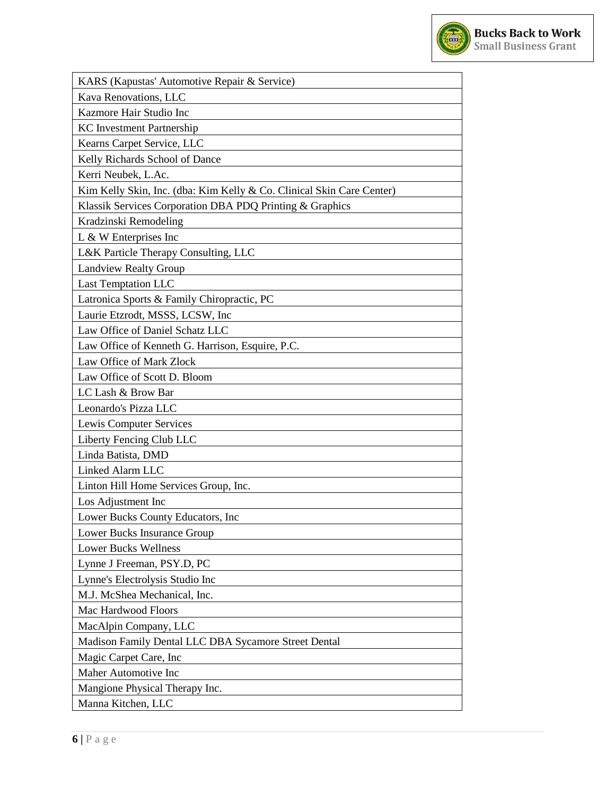

| KARS (Kapustas' Automotive Repair & Service)                          |
|-----------------------------------------------------------------------|
| Kava Renovations, LLC                                                 |
| Kazmore Hair Studio Inc                                               |
| <b>KC</b> Investment Partnership                                      |
| Kearns Carpet Service, LLC                                            |
| Kelly Richards School of Dance                                        |
| Kerri Neubek, L.Ac.                                                   |
| Kim Kelly Skin, Inc. (dba: Kim Kelly & Co. Clinical Skin Care Center) |
| Klassik Services Corporation DBA PDQ Printing & Graphics              |
| Kradzinski Remodeling                                                 |
| $L \& W$ Enterprises Inc                                              |
| L&K Particle Therapy Consulting, LLC                                  |
| <b>Landview Realty Group</b>                                          |
| <b>Last Temptation LLC</b>                                            |
| Latronica Sports & Family Chiropractic, PC                            |
| Laurie Etzrodt, MSSS, LCSW, Inc                                       |
| Law Office of Daniel Schatz LLC                                       |
| Law Office of Kenneth G. Harrison, Esquire, P.C.                      |
| Law Office of Mark Zlock                                              |
| Law Office of Scott D. Bloom                                          |
| LC Lash & Brow Bar                                                    |
| Leonardo's Pizza LLC                                                  |
| Lewis Computer Services                                               |
| Liberty Fencing Club LLC                                              |
| Linda Batista, DMD                                                    |
| Linked Alarm LLC                                                      |
| Linton Hill Home Services Group, Inc.                                 |
| Los Adjustment Inc                                                    |
| Lower Bucks County Educators, Inc.                                    |
| Lower Bucks Insurance Group                                           |
| <b>Lower Bucks Wellness</b>                                           |
| Lynne J Freeman, PSY.D, PC                                            |
| Lynne's Electrolysis Studio Inc                                       |
| M.J. McShea Mechanical, Inc.                                          |
| Mac Hardwood Floors                                                   |
| MacAlpin Company, LLC                                                 |
| Madison Family Dental LLC DBA Sycamore Street Dental                  |
| Magic Carpet Care, Inc                                                |
| Maher Automotive Inc                                                  |
| Mangione Physical Therapy Inc.                                        |
| Manna Kitchen, LLC                                                    |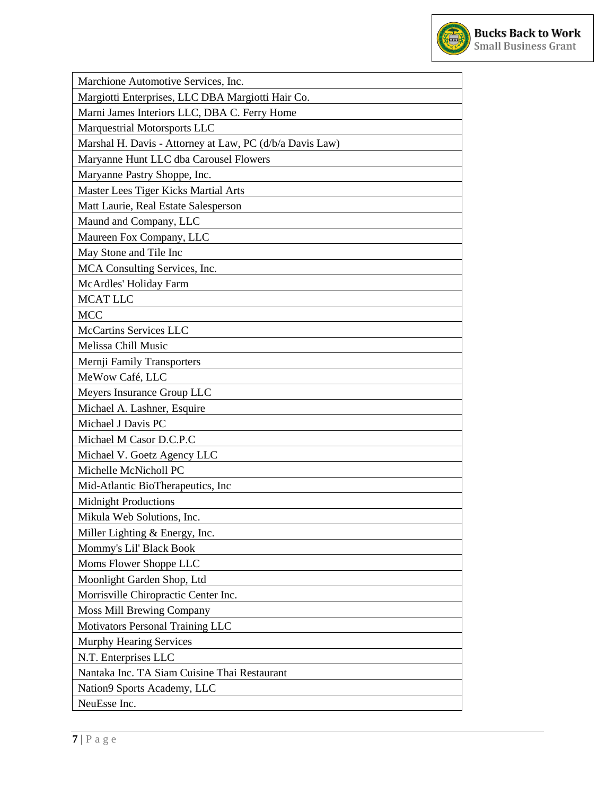

| Marchione Automotive Services, Inc.                      |
|----------------------------------------------------------|
| Margiotti Enterprises, LLC DBA Margiotti Hair Co.        |
| Marni James Interiors LLC, DBA C. Ferry Home             |
| Marquestrial Motorsports LLC                             |
| Marshal H. Davis - Attorney at Law, PC (d/b/a Davis Law) |
| Maryanne Hunt LLC dba Carousel Flowers                   |
| Maryanne Pastry Shoppe, Inc.                             |
| Master Lees Tiger Kicks Martial Arts                     |
| Matt Laurie, Real Estate Salesperson                     |
| Maund and Company, LLC                                   |
| Maureen Fox Company, LLC                                 |
| May Stone and Tile Inc                                   |
| MCA Consulting Services, Inc.                            |
| McArdles' Holiday Farm                                   |
| <b>MCATLLC</b>                                           |
| <b>MCC</b>                                               |
| <b>McCartins Services LLC</b>                            |
| Melissa Chill Music                                      |
| Mernji Family Transporters                               |
| MeWow Café, LLC                                          |
| Meyers Insurance Group LLC                               |
| Michael A. Lashner, Esquire                              |
| Michael J Davis PC                                       |
| Michael M Casor D.C.P.C                                  |
| Michael V. Goetz Agency LLC                              |
| Michelle McNicholl PC                                    |
| Mid-Atlantic BioTherapeutics, Inc                        |
| <b>Midnight Productions</b>                              |
| Mikula Web Solutions, Inc.                               |
| Miller Lighting $&$ Energy, Inc.                         |
| Mommy's Lil' Black Book                                  |
| Moms Flower Shoppe LLC                                   |
| Moonlight Garden Shop, Ltd                               |
| Morrisville Chiropractic Center Inc.                     |
| <b>Moss Mill Brewing Company</b>                         |
| Motivators Personal Training LLC                         |
| Murphy Hearing Services                                  |
| N.T. Enterprises LLC                                     |
| Nantaka Inc. TA Siam Cuisine Thai Restaurant             |
| Nation9 Sports Academy, LLC                              |
| NeuEsse Inc.                                             |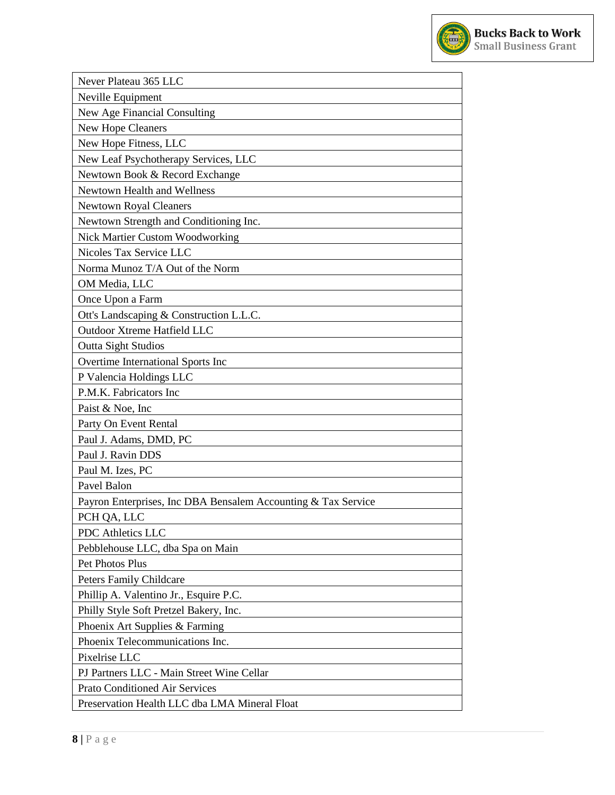

| Never Plateau 365 LLC<br>Neville Equipment<br>New Age Financial Consulting<br><b>New Hope Cleaners</b><br>New Hope Fitness, LLC<br>New Leaf Psychotherapy Services, LLC<br>Newtown Book & Record Exchange<br>Newtown Health and Wellness<br><b>Newtown Royal Cleaners</b><br>Newtown Strength and Conditioning Inc.<br><b>Nick Martier Custom Woodworking</b><br>Nicoles Tax Service LLC<br>Norma Munoz T/A Out of the Norm<br>OM Media, LLC<br>Once Upon a Farm<br>Ott's Landscaping & Construction L.L.C.<br>Outdoor Xtreme Hatfield LLC<br><b>Outta Sight Studios</b><br>Overtime International Sports Inc<br>P Valencia Holdings LLC<br>P.M.K. Fabricators Inc<br>Paist & Noe, Inc<br>Party On Event Rental<br>Paul J. Adams, DMD, PC<br>Paul J. Ravin DDS<br>Paul M. Izes, PC<br>Pavel Balon<br>Payron Enterprises, Inc DBA Bensalem Accounting & Tax Service<br>PCH QA, LLC<br><b>PDC</b> Athletics LLC<br>Pebblehouse LLC, dba Spa on Main<br>Pet Photos Plus<br><b>Peters Family Childcare</b><br>Phillip A. Valentino Jr., Esquire P.C.<br>Philly Style Soft Pretzel Bakery, Inc.<br>Phoenix Art Supplies & Farming<br>Phoenix Telecommunications Inc.<br>Pixelrise LLC<br>PJ Partners LLC - Main Street Wine Cellar<br><b>Prato Conditioned Air Services</b><br>Preservation Health LLC dba LMA Mineral Float |  |
|-------------------------------------------------------------------------------------------------------------------------------------------------------------------------------------------------------------------------------------------------------------------------------------------------------------------------------------------------------------------------------------------------------------------------------------------------------------------------------------------------------------------------------------------------------------------------------------------------------------------------------------------------------------------------------------------------------------------------------------------------------------------------------------------------------------------------------------------------------------------------------------------------------------------------------------------------------------------------------------------------------------------------------------------------------------------------------------------------------------------------------------------------------------------------------------------------------------------------------------------------------------------------------------------------------------------------|--|
|                                                                                                                                                                                                                                                                                                                                                                                                                                                                                                                                                                                                                                                                                                                                                                                                                                                                                                                                                                                                                                                                                                                                                                                                                                                                                                                         |  |
|                                                                                                                                                                                                                                                                                                                                                                                                                                                                                                                                                                                                                                                                                                                                                                                                                                                                                                                                                                                                                                                                                                                                                                                                                                                                                                                         |  |
|                                                                                                                                                                                                                                                                                                                                                                                                                                                                                                                                                                                                                                                                                                                                                                                                                                                                                                                                                                                                                                                                                                                                                                                                                                                                                                                         |  |
|                                                                                                                                                                                                                                                                                                                                                                                                                                                                                                                                                                                                                                                                                                                                                                                                                                                                                                                                                                                                                                                                                                                                                                                                                                                                                                                         |  |
|                                                                                                                                                                                                                                                                                                                                                                                                                                                                                                                                                                                                                                                                                                                                                                                                                                                                                                                                                                                                                                                                                                                                                                                                                                                                                                                         |  |
|                                                                                                                                                                                                                                                                                                                                                                                                                                                                                                                                                                                                                                                                                                                                                                                                                                                                                                                                                                                                                                                                                                                                                                                                                                                                                                                         |  |
|                                                                                                                                                                                                                                                                                                                                                                                                                                                                                                                                                                                                                                                                                                                                                                                                                                                                                                                                                                                                                                                                                                                                                                                                                                                                                                                         |  |
|                                                                                                                                                                                                                                                                                                                                                                                                                                                                                                                                                                                                                                                                                                                                                                                                                                                                                                                                                                                                                                                                                                                                                                                                                                                                                                                         |  |
|                                                                                                                                                                                                                                                                                                                                                                                                                                                                                                                                                                                                                                                                                                                                                                                                                                                                                                                                                                                                                                                                                                                                                                                                                                                                                                                         |  |
|                                                                                                                                                                                                                                                                                                                                                                                                                                                                                                                                                                                                                                                                                                                                                                                                                                                                                                                                                                                                                                                                                                                                                                                                                                                                                                                         |  |
|                                                                                                                                                                                                                                                                                                                                                                                                                                                                                                                                                                                                                                                                                                                                                                                                                                                                                                                                                                                                                                                                                                                                                                                                                                                                                                                         |  |
|                                                                                                                                                                                                                                                                                                                                                                                                                                                                                                                                                                                                                                                                                                                                                                                                                                                                                                                                                                                                                                                                                                                                                                                                                                                                                                                         |  |
|                                                                                                                                                                                                                                                                                                                                                                                                                                                                                                                                                                                                                                                                                                                                                                                                                                                                                                                                                                                                                                                                                                                                                                                                                                                                                                                         |  |
|                                                                                                                                                                                                                                                                                                                                                                                                                                                                                                                                                                                                                                                                                                                                                                                                                                                                                                                                                                                                                                                                                                                                                                                                                                                                                                                         |  |
|                                                                                                                                                                                                                                                                                                                                                                                                                                                                                                                                                                                                                                                                                                                                                                                                                                                                                                                                                                                                                                                                                                                                                                                                                                                                                                                         |  |
|                                                                                                                                                                                                                                                                                                                                                                                                                                                                                                                                                                                                                                                                                                                                                                                                                                                                                                                                                                                                                                                                                                                                                                                                                                                                                                                         |  |
|                                                                                                                                                                                                                                                                                                                                                                                                                                                                                                                                                                                                                                                                                                                                                                                                                                                                                                                                                                                                                                                                                                                                                                                                                                                                                                                         |  |
|                                                                                                                                                                                                                                                                                                                                                                                                                                                                                                                                                                                                                                                                                                                                                                                                                                                                                                                                                                                                                                                                                                                                                                                                                                                                                                                         |  |
|                                                                                                                                                                                                                                                                                                                                                                                                                                                                                                                                                                                                                                                                                                                                                                                                                                                                                                                                                                                                                                                                                                                                                                                                                                                                                                                         |  |
|                                                                                                                                                                                                                                                                                                                                                                                                                                                                                                                                                                                                                                                                                                                                                                                                                                                                                                                                                                                                                                                                                                                                                                                                                                                                                                                         |  |
|                                                                                                                                                                                                                                                                                                                                                                                                                                                                                                                                                                                                                                                                                                                                                                                                                                                                                                                                                                                                                                                                                                                                                                                                                                                                                                                         |  |
|                                                                                                                                                                                                                                                                                                                                                                                                                                                                                                                                                                                                                                                                                                                                                                                                                                                                                                                                                                                                                                                                                                                                                                                                                                                                                                                         |  |
|                                                                                                                                                                                                                                                                                                                                                                                                                                                                                                                                                                                                                                                                                                                                                                                                                                                                                                                                                                                                                                                                                                                                                                                                                                                                                                                         |  |
|                                                                                                                                                                                                                                                                                                                                                                                                                                                                                                                                                                                                                                                                                                                                                                                                                                                                                                                                                                                                                                                                                                                                                                                                                                                                                                                         |  |
|                                                                                                                                                                                                                                                                                                                                                                                                                                                                                                                                                                                                                                                                                                                                                                                                                                                                                                                                                                                                                                                                                                                                                                                                                                                                                                                         |  |
|                                                                                                                                                                                                                                                                                                                                                                                                                                                                                                                                                                                                                                                                                                                                                                                                                                                                                                                                                                                                                                                                                                                                                                                                                                                                                                                         |  |
|                                                                                                                                                                                                                                                                                                                                                                                                                                                                                                                                                                                                                                                                                                                                                                                                                                                                                                                                                                                                                                                                                                                                                                                                                                                                                                                         |  |
|                                                                                                                                                                                                                                                                                                                                                                                                                                                                                                                                                                                                                                                                                                                                                                                                                                                                                                                                                                                                                                                                                                                                                                                                                                                                                                                         |  |
|                                                                                                                                                                                                                                                                                                                                                                                                                                                                                                                                                                                                                                                                                                                                                                                                                                                                                                                                                                                                                                                                                                                                                                                                                                                                                                                         |  |
|                                                                                                                                                                                                                                                                                                                                                                                                                                                                                                                                                                                                                                                                                                                                                                                                                                                                                                                                                                                                                                                                                                                                                                                                                                                                                                                         |  |
|                                                                                                                                                                                                                                                                                                                                                                                                                                                                                                                                                                                                                                                                                                                                                                                                                                                                                                                                                                                                                                                                                                                                                                                                                                                                                                                         |  |
|                                                                                                                                                                                                                                                                                                                                                                                                                                                                                                                                                                                                                                                                                                                                                                                                                                                                                                                                                                                                                                                                                                                                                                                                                                                                                                                         |  |
|                                                                                                                                                                                                                                                                                                                                                                                                                                                                                                                                                                                                                                                                                                                                                                                                                                                                                                                                                                                                                                                                                                                                                                                                                                                                                                                         |  |
|                                                                                                                                                                                                                                                                                                                                                                                                                                                                                                                                                                                                                                                                                                                                                                                                                                                                                                                                                                                                                                                                                                                                                                                                                                                                                                                         |  |
|                                                                                                                                                                                                                                                                                                                                                                                                                                                                                                                                                                                                                                                                                                                                                                                                                                                                                                                                                                                                                                                                                                                                                                                                                                                                                                                         |  |
|                                                                                                                                                                                                                                                                                                                                                                                                                                                                                                                                                                                                                                                                                                                                                                                                                                                                                                                                                                                                                                                                                                                                                                                                                                                                                                                         |  |
|                                                                                                                                                                                                                                                                                                                                                                                                                                                                                                                                                                                                                                                                                                                                                                                                                                                                                                                                                                                                                                                                                                                                                                                                                                                                                                                         |  |
|                                                                                                                                                                                                                                                                                                                                                                                                                                                                                                                                                                                                                                                                                                                                                                                                                                                                                                                                                                                                                                                                                                                                                                                                                                                                                                                         |  |
|                                                                                                                                                                                                                                                                                                                                                                                                                                                                                                                                                                                                                                                                                                                                                                                                                                                                                                                                                                                                                                                                                                                                                                                                                                                                                                                         |  |
|                                                                                                                                                                                                                                                                                                                                                                                                                                                                                                                                                                                                                                                                                                                                                                                                                                                                                                                                                                                                                                                                                                                                                                                                                                                                                                                         |  |
|                                                                                                                                                                                                                                                                                                                                                                                                                                                                                                                                                                                                                                                                                                                                                                                                                                                                                                                                                                                                                                                                                                                                                                                                                                                                                                                         |  |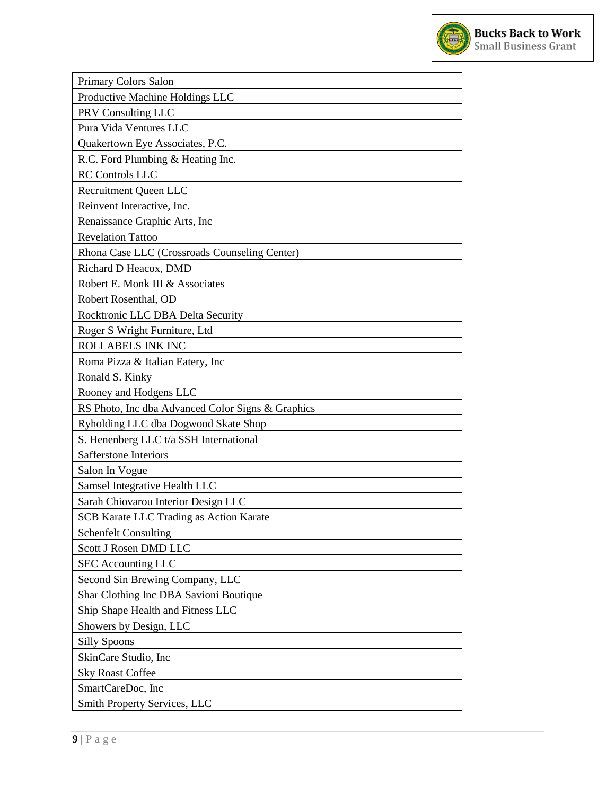

| Primary Colors Salon                              |
|---------------------------------------------------|
| Productive Machine Holdings LLC                   |
| PRV Consulting LLC                                |
| Pura Vida Ventures LLC                            |
| Quakertown Eye Associates, P.C.                   |
| R.C. Ford Plumbing & Heating Inc.                 |
| <b>RC</b> Controls LLC                            |
| <b>Recruitment Queen LLC</b>                      |
| Reinvent Interactive, Inc.                        |
| Renaissance Graphic Arts, Inc                     |
| <b>Revelation Tattoo</b>                          |
| Rhona Case LLC (Crossroads Counseling Center)     |
| Richard D Heacox, DMD                             |
| Robert E. Monk III & Associates                   |
| Robert Rosenthal, OD                              |
| Rocktronic LLC DBA Delta Security                 |
| Roger S Wright Furniture, Ltd                     |
| ROLLABELS INK INC                                 |
| Roma Pizza & Italian Eatery, Inc.                 |
| Ronald S. Kinky                                   |
| Rooney and Hodgens LLC                            |
| RS Photo, Inc dba Advanced Color Signs & Graphics |
| Ryholding LLC dba Dogwood Skate Shop              |
| S. Henenberg LLC t/a SSH International            |
| <b>Safferstone Interiors</b>                      |
| Salon In Vogue                                    |
| Samsel Integrative Health LLC                     |
| Sarah Chiovarou Interior Design LLC               |
| SCB Karate LLC Trading as Action Karate           |
| <b>Schenfelt Consulting</b>                       |
| Scott J Rosen DMD LLC                             |
| <b>SEC Accounting LLC</b>                         |
| Second Sin Brewing Company, LLC                   |
| Shar Clothing Inc DBA Savioni Boutique            |
| Ship Shape Health and Fitness LLC                 |
| Showers by Design, LLC                            |
| <b>Silly Spoons</b>                               |
| SkinCare Studio, Inc                              |
| <b>Sky Roast Coffee</b>                           |
| SmartCareDoc, Inc                                 |
| Smith Property Services, LLC                      |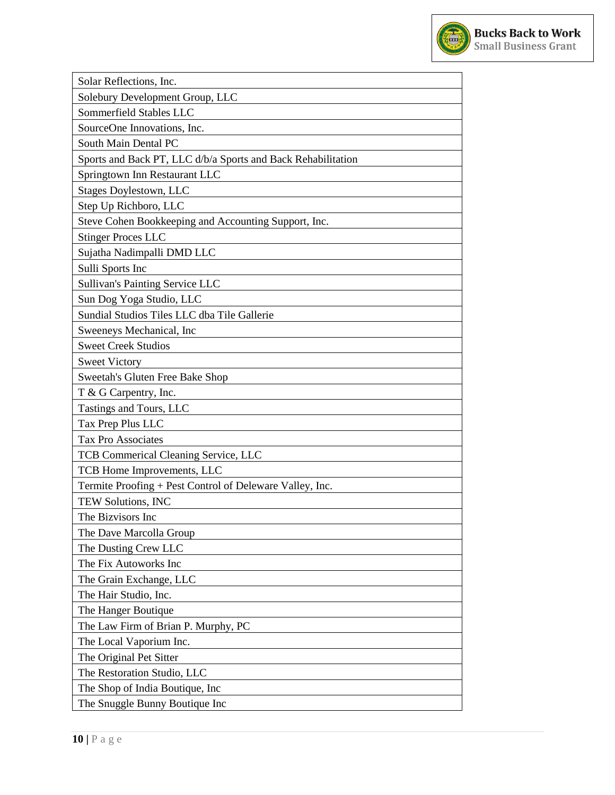

| Solar Reflections, Inc.                                      |
|--------------------------------------------------------------|
| Solebury Development Group, LLC                              |
| Sommerfield Stables LLC                                      |
| SourceOne Innovations, Inc.                                  |
| South Main Dental PC                                         |
| Sports and Back PT, LLC d/b/a Sports and Back Rehabilitation |
| Springtown Inn Restaurant LLC                                |
| <b>Stages Doylestown, LLC</b>                                |
| Step Up Richboro, LLC                                        |
| Steve Cohen Bookkeeping and Accounting Support, Inc.         |
| <b>Stinger Proces LLC</b>                                    |
| Sujatha Nadimpalli DMD LLC                                   |
| Sulli Sports Inc                                             |
| <b>Sullivan's Painting Service LLC</b>                       |
| Sun Dog Yoga Studio, LLC                                     |
| Sundial Studios Tiles LLC dba Tile Gallerie                  |
| Sweeneys Mechanical, Inc                                     |
| <b>Sweet Creek Studios</b>                                   |
| <b>Sweet Victory</b>                                         |
| Sweetah's Gluten Free Bake Shop                              |
| T & G Carpentry, Inc.                                        |
| Tastings and Tours, LLC                                      |
| Tax Prep Plus LLC                                            |
| <b>Tax Pro Associates</b>                                    |
| <b>TCB Commerical Cleaning Service, LLC</b>                  |
| TCB Home Improvements, LLC                                   |
| Termite Proofing + Pest Control of Deleware Valley, Inc.     |
| TEW Solutions, INC                                           |
| The Bizvisors Inc                                            |
| The Dave Marcolla Group                                      |
| The Dusting Crew LLC                                         |
| The Fix Autoworks Inc                                        |
| The Grain Exchange, LLC                                      |
| The Hair Studio, Inc.                                        |
| The Hanger Boutique                                          |
| The Law Firm of Brian P. Murphy, PC                          |
| The Local Vaporium Inc.                                      |
| The Original Pet Sitter                                      |
| The Restoration Studio, LLC                                  |
| The Shop of India Boutique, Inc                              |
| The Snuggle Bunny Boutique Inc                               |